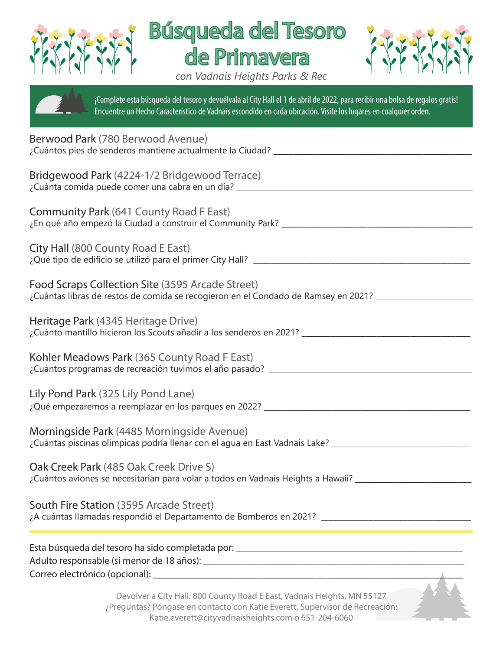





*con Vadnais Heights Parks & Rec*

¡Complete esta búsqueda del tesoro y devuélvala al City Hall el 1 de abril de 2022, para recibir una bolsa de regalos gratis!

Encuentre un Hecho Característico de Vadnais escondido en cada ubicación. Visite los lugares en cualquier orden.

| Berwood Park (780 Berwood Avenue)                                                                                                                                                                              |
|----------------------------------------------------------------------------------------------------------------------------------------------------------------------------------------------------------------|
| Bridgewood Park (4224-1/2 Bridgewood Terrace)<br>¿Cuánta comida puede comer una cabra en un día? ________________________________                                                                              |
| <b>Community Park (641 County Road F East)</b><br>¿En qué año empezó la Ciudad a construir el Community Park? _____________________                                                                            |
| City Hall (800 County Road E East)                                                                                                                                                                             |
| Food Scraps Collection Site (3595 Arcade Street)<br>¿Cuántas libras de restos de comida se recogieron en el Condado de Ramsey en 2021? __________                                                              |
| Heritage Park (4345 Heritage Drive)                                                                                                                                                                            |
| Kohler Meadows Park (365 County Road F East)                                                                                                                                                                   |
| Lily Pond Park (325 Lily Pond Lane)                                                                                                                                                                            |
| Morningside Park (4485 Morningside Avenue)<br>¿Cuántas piscinas olímpicas podría llenar con el agua en East Vadnais Lake? _______________________                                                              |
| Oak Creek Park (485 Oak Creek Drive S)<br>¿Cuántos aviones se necesitarían para volar a todos en Vadnais Heights a Hawaii? _________                                                                           |
| South Fire Station (3595 Arcade Street)<br>¿A cuántas llamadas respondió el Departamento de Bomberos en 2021? _________________________________                                                                |
|                                                                                                                                                                                                                |
| Devolver a City Hall: 800 County Road E East, Vadnais Heights, MN 55127<br>¿Preguntas? Póngase en contacto con Katie Everett, Supervisor de Recreación:<br>Katie.everett@cityvadnaisheights.com o 651-204-6060 |